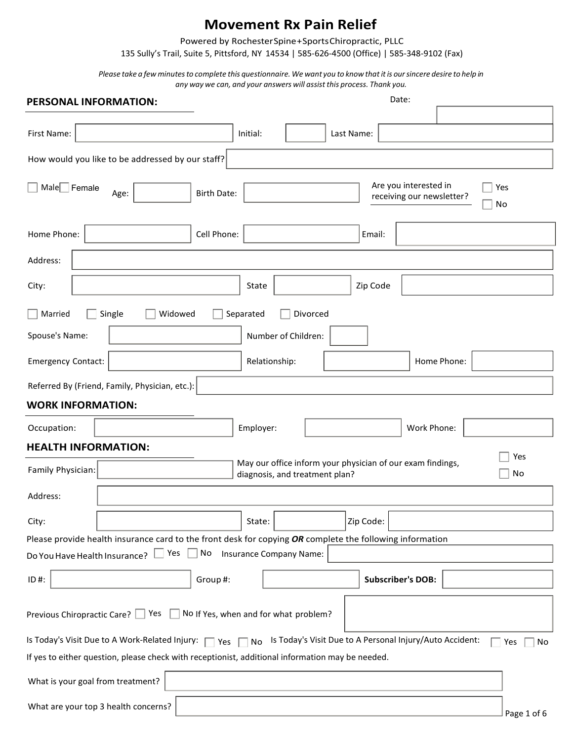Powered by Rochester Spine + Sports Chiropractic, PLLC

135 Sully's Trail, Suite 5, Pittsford, NY 14534 | 585-626-4500 (Office) | 585-348-9102 (Fax)

Please take a few minutes to complete this questionnaire. We want you to know that it is our sincere desire to help in any way we can, and your answers will assist this process. Thank you.

| <b>PERSONAL INFORMATION:</b>                                                                                                              | Date:                                                                                                    |             |  |  |  |
|-------------------------------------------------------------------------------------------------------------------------------------------|----------------------------------------------------------------------------------------------------------|-------------|--|--|--|
|                                                                                                                                           |                                                                                                          |             |  |  |  |
| First Name:                                                                                                                               | Initial:<br>Last Name:                                                                                   |             |  |  |  |
| How would you like to be addressed by our staff?                                                                                          |                                                                                                          |             |  |  |  |
| Male Female<br>Age:                                                                                                                       | Are you interested in<br><b>Birth Date:</b><br>receiving our newsletter?                                 | Yes<br>No   |  |  |  |
| Home Phone:                                                                                                                               | Cell Phone:<br>Email:                                                                                    |             |  |  |  |
| Address:                                                                                                                                  |                                                                                                          |             |  |  |  |
| City:                                                                                                                                     | Zip Code<br>State                                                                                        |             |  |  |  |
| Single<br>Widowed<br>Married                                                                                                              | Divorced<br>Separated                                                                                    |             |  |  |  |
| Spouse's Name:                                                                                                                            | Number of Children:                                                                                      |             |  |  |  |
| <b>Emergency Contact:</b>                                                                                                                 | Relationship:<br>Home Phone:                                                                             |             |  |  |  |
| Referred By (Friend, Family, Physician, etc.):                                                                                            |                                                                                                          |             |  |  |  |
| <b>WORK INFORMATION:</b>                                                                                                                  |                                                                                                          |             |  |  |  |
| Occupation:                                                                                                                               | Employer:<br>Work Phone:                                                                                 |             |  |  |  |
| <b>HEALTH INFORMATION:</b>                                                                                                                |                                                                                                          |             |  |  |  |
| Family Physician:                                                                                                                         | May our office inform your physician of our exam findings,<br>diagnosis, and treatment plan?             | Yes<br>No   |  |  |  |
| Address:                                                                                                                                  |                                                                                                          |             |  |  |  |
| City:                                                                                                                                     | Zip Code:<br>State:                                                                                      |             |  |  |  |
|                                                                                                                                           | Please provide health insurance card to the front desk for copying OR complete the following information |             |  |  |  |
| Do You Have Health Insurance? Ves No Insurance Company Name:                                                                              |                                                                                                          |             |  |  |  |
| ID#:                                                                                                                                      | <b>Subscriber's DOB:</b><br>Group#:                                                                      |             |  |  |  |
| Previous Chiropractic Care? $\Box$ Yes $\Box$ No If Yes, when and for what problem?                                                       |                                                                                                          |             |  |  |  |
| Is Today's Visit Due to A Work-Related Injury: $\Box$ Yes $\Box$ No Is Today's Visit Due to A Personal Injury/Auto Accident:<br>No<br>Yes |                                                                                                          |             |  |  |  |
| If yes to either question, please check with receptionist, additional information may be needed.                                          |                                                                                                          |             |  |  |  |
| What is your goal from treatment?                                                                                                         |                                                                                                          |             |  |  |  |
| What are your top 3 health concerns?                                                                                                      |                                                                                                          | Page 1 of 6 |  |  |  |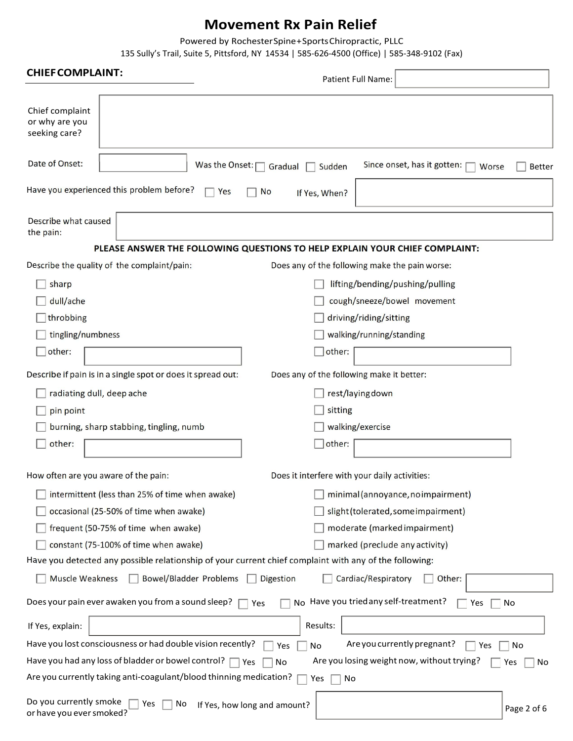Powered by Rochester Spine + Sports Chiropractic, PLLC

135 Sully's Trail, Suite 5, Pittsford, NY 14534 | 585-626-4500 (Office) | 585-348-9102 (Fax)

| <b>CHIEFCOMPLAINT:</b>                                                                                 | <b>Patient Full Name:</b>                                                       |                                                         |  |  |  |  |
|--------------------------------------------------------------------------------------------------------|---------------------------------------------------------------------------------|---------------------------------------------------------|--|--|--|--|
| Chief complaint<br>or why are you<br>seeking care?                                                     |                                                                                 |                                                         |  |  |  |  |
| Date of Onset:                                                                                         | Was the Onset: $\Box$ Gradual<br>Sudden                                         | Since onset, has it gotten: [<br>Worse<br><b>Better</b> |  |  |  |  |
| Have you experienced this problem before?                                                              | Yes<br><b>No</b><br>If Yes, When?                                               |                                                         |  |  |  |  |
| Describe what caused<br>the pain:                                                                      |                                                                                 |                                                         |  |  |  |  |
|                                                                                                        | PLEASE ANSWER THE FOLLOWING QUESTIONS TO HELP EXPLAIN YOUR CHIEF COMPLAINT:     |                                                         |  |  |  |  |
| Describe the quality of the complaint/pain:                                                            | Does any of the following make the pain worse:                                  |                                                         |  |  |  |  |
| sharp                                                                                                  | lifting/bending/pushing/pulling                                                 |                                                         |  |  |  |  |
| dull/ache                                                                                              | cough/sneeze/bowel movement                                                     |                                                         |  |  |  |  |
| throbbing                                                                                              | driving/riding/sitting                                                          |                                                         |  |  |  |  |
| tingling/numbness                                                                                      | walking/running/standing                                                        |                                                         |  |  |  |  |
| other:                                                                                                 | other:                                                                          |                                                         |  |  |  |  |
| Describe if pain is in a single spot or does it spread out:                                            | Does any of the following make it better:                                       |                                                         |  |  |  |  |
| radiating dull, deep ache                                                                              | rest/laying down                                                                |                                                         |  |  |  |  |
| pin point                                                                                              | sitting                                                                         |                                                         |  |  |  |  |
| burning, sharp stabbing, tingling, numb                                                                | walking/exercise                                                                |                                                         |  |  |  |  |
| other:                                                                                                 | $\Box$ other:                                                                   |                                                         |  |  |  |  |
| How often are you aware of the pain:                                                                   | Does it interfere with your daily activities:                                   |                                                         |  |  |  |  |
| intermittent (less than 25% of time when awake)                                                        | minimal (annoyance, no impairment)                                              |                                                         |  |  |  |  |
| occasional (25-50% of time when awake)                                                                 | slight (tolerated, some impairment)                                             |                                                         |  |  |  |  |
| frequent (50-75% of time when awake)                                                                   | moderate (marked impairment)                                                    |                                                         |  |  |  |  |
| constant (75-100% of time when awake)                                                                  | marked (preclude any activity)                                                  |                                                         |  |  |  |  |
| Have you detected any possible relationship of your current chief complaint with any of the following: |                                                                                 |                                                         |  |  |  |  |
| Muscle Weakness                                                                                        | <b>Bowel/Bladder Problems</b><br>Digestion<br>Cardiac/Respiratory               | Other:                                                  |  |  |  |  |
| Does your pain ever awaken you from a sound sleep?                                                     | No Have you tried any self-treatment?<br>Yes                                    | No<br>Yes                                               |  |  |  |  |
| If Yes, explain:                                                                                       | Results:                                                                        |                                                         |  |  |  |  |
| Have you lost consciousness or had double vision recently?                                             | Are you currently pregnant?<br>No<br>Yes                                        | Yes<br>No                                               |  |  |  |  |
| Have you had any loss of bladder or bowel control? $\Box$                                              | Are you losing weight now, without trying?<br>Yes<br>No                         | No<br>Yes                                               |  |  |  |  |
|                                                                                                        | Are you currently taking anti-coagulant/blood thinning medication?<br>No<br>Yes |                                                         |  |  |  |  |
| Do you currently smoke<br>Yes<br>or have you ever smoked?                                              | No<br>If Yes, how long and amount?                                              | Page 2 of 6                                             |  |  |  |  |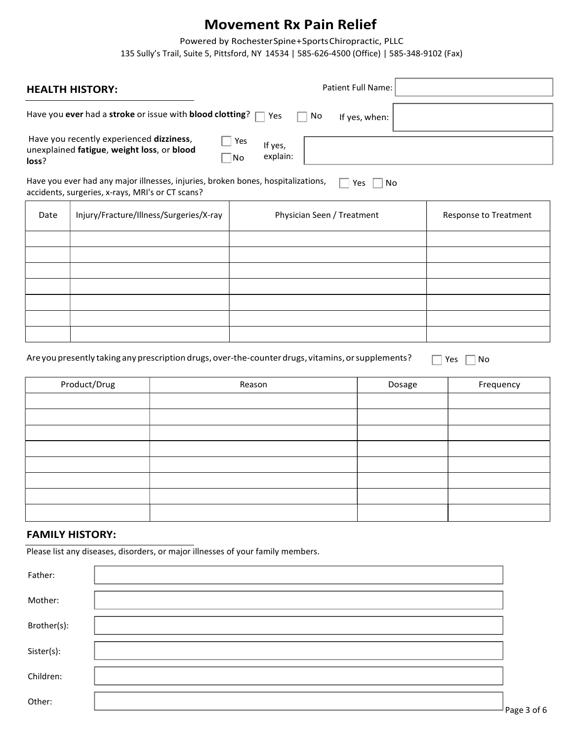Powered by Rochester Spine + Sports Chiropractic, PLLC

135 Sully's Trail, Suite 5, Pittsford, NY 14534 | 585-626-4500 (Office) | 585-348-9102 (Fax)

|                                                                                                                                                   | <b>HEALTH HISTORY:</b>                                                                                                      |  |                                                | Patient Full Name:    |  |           |
|---------------------------------------------------------------------------------------------------------------------------------------------------|-----------------------------------------------------------------------------------------------------------------------------|--|------------------------------------------------|-----------------------|--|-----------|
|                                                                                                                                                   | Have you ever had a stroke or issue with blood clotting?                                                                    |  | Yes<br>$\overline{a}$<br>No<br>$\vert$ $\vert$ | If yes, when:         |  |           |
| loss?                                                                                                                                             | Have you recently experienced dizziness,<br>Yes<br>If yes,<br>unexplained fatigue, weight loss, or blood<br>explain:<br> No |  |                                                |                       |  |           |
| Have you ever had any major illnesses, injuries, broken bones, hospitalizations,<br>Yes<br>No<br>accidents, surgeries, x-rays, MRI's or CT scans? |                                                                                                                             |  |                                                |                       |  |           |
| Date                                                                                                                                              | Injury/Fracture/Illness/Surgeries/X-ray<br>Physician Seen / Treatment                                                       |  |                                                | Response to Treatment |  |           |
|                                                                                                                                                   |                                                                                                                             |  |                                                |                       |  |           |
|                                                                                                                                                   |                                                                                                                             |  |                                                |                       |  |           |
|                                                                                                                                                   |                                                                                                                             |  |                                                |                       |  |           |
|                                                                                                                                                   |                                                                                                                             |  |                                                |                       |  |           |
|                                                                                                                                                   |                                                                                                                             |  |                                                |                       |  |           |
| Are you presently taking any prescription drugs, over-the-counter drugs, vitamins, or supplements?<br>Yes<br>No                                   |                                                                                                                             |  |                                                |                       |  |           |
|                                                                                                                                                   | Product/Drug                                                                                                                |  | Reason                                         | Dosage                |  | Frequency |
|                                                                                                                                                   |                                                                                                                             |  |                                                |                       |  |           |
|                                                                                                                                                   |                                                                                                                             |  |                                                |                       |  |           |
|                                                                                                                                                   |                                                                                                                             |  |                                                |                       |  |           |
|                                                                                                                                                   |                                                                                                                             |  |                                                |                       |  |           |
|                                                                                                                                                   |                                                                                                                             |  |                                                |                       |  |           |
|                                                                                                                                                   |                                                                                                                             |  |                                                |                       |  |           |

### FAMILY HISTORY:

Please list any diseases, disorders, or major illnesses of your family members.

| Father:     |        |
|-------------|--------|
| Mother:     |        |
| Brother(s): |        |
| Sister(s):  |        |
| Children:   |        |
| Other:      | $\sim$ |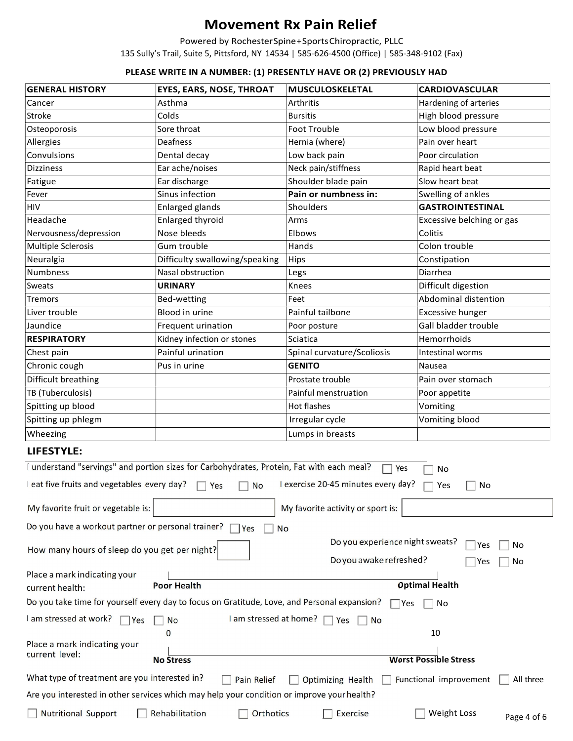Powered by Rochester Spine + Sports Chiropractic, PLLC 135 Sully's Trail, Suite 5, Pittsford, NY 14534 | 585-626-4500 (Office) | 585-348-9102 (Fax)

#### PLEASE WRITE IN A NUMBER: (1) PRESENTLY HAVE OR (2) PREVIOUSLY HAD

| <b>GENERAL HISTORY</b>                                                                                                                 | <b>EYES, EARS, NOSE, THROAT</b>                                                            | <b>MUSCULOSKELETAL</b>            | <b>CARDIOVASCULAR</b>             |  |
|----------------------------------------------------------------------------------------------------------------------------------------|--------------------------------------------------------------------------------------------|-----------------------------------|-----------------------------------|--|
| Cancer                                                                                                                                 | Asthma                                                                                     | Arthritis                         | Hardening of arteries             |  |
| Stroke                                                                                                                                 | Colds                                                                                      | <b>Bursitis</b>                   | High blood pressure               |  |
| Osteoporosis                                                                                                                           | Sore throat                                                                                | <b>Foot Trouble</b>               | Low blood pressure                |  |
| Allergies                                                                                                                              | Deafness                                                                                   | Hernia (where)                    | Pain over heart                   |  |
| Convulsions                                                                                                                            | Dental decay                                                                               | Low back pain                     | Poor circulation                  |  |
| Dizziness                                                                                                                              | Ear ache/noises                                                                            | Neck pain/stiffness               | Rapid heart beat                  |  |
| Fatigue                                                                                                                                | Ear discharge                                                                              | Shoulder blade pain               | Slow heart beat                   |  |
| Fever                                                                                                                                  | Sinus infection                                                                            | Pain or numbness in:              | Swelling of ankles                |  |
| <b>HIV</b>                                                                                                                             | Enlarged glands                                                                            | Shoulders                         | <b>GASTROINTESTINAL</b>           |  |
| Headache                                                                                                                               | <b>Enlarged thyroid</b>                                                                    | Arms                              | Excessive belching or gas         |  |
| Nervousness/depression                                                                                                                 | Nose bleeds                                                                                | Elbows                            | Colitis                           |  |
| Multiple Sclerosis                                                                                                                     | Gum trouble                                                                                | Hands                             | Colon trouble                     |  |
| Neuralgia                                                                                                                              | Difficulty swallowing/speaking                                                             | Hips                              | Constipation                      |  |
| Numbness                                                                                                                               | Nasal obstruction                                                                          | Legs                              | Diarrhea                          |  |
| Sweats                                                                                                                                 | <b>URINARY</b>                                                                             | Knees                             | Difficult digestion               |  |
| Tremors                                                                                                                                | Bed-wetting                                                                                | Feet                              | Abdominal distention              |  |
| Liver trouble                                                                                                                          | Blood in urine                                                                             | Painful tailbone                  | <b>Excessive hunger</b>           |  |
| Jaundice                                                                                                                               | Frequent urination                                                                         | Poor posture                      | Gall bladder trouble              |  |
| <b>RESPIRATORY</b>                                                                                                                     | Kidney infection or stones                                                                 | Sciatica                          | Hemorrhoids                       |  |
| Chest pain                                                                                                                             | Painful urination                                                                          | Spinal curvature/Scoliosis        | Intestinal worms                  |  |
| Chronic cough                                                                                                                          | Pus in urine                                                                               | <b>GENITO</b>                     | Nausea                            |  |
| Difficult breathing                                                                                                                    |                                                                                            | Prostate trouble                  | Pain over stomach                 |  |
| TB (Tuberculosis)                                                                                                                      |                                                                                            | Painful menstruation              | Poor appetite                     |  |
| Spitting up blood                                                                                                                      |                                                                                            | Hot flashes                       | Vomiting                          |  |
| Spitting up phlegm                                                                                                                     |                                                                                            | Irregular cycle                   | Vomiting blood                    |  |
|                                                                                                                                        |                                                                                            |                                   |                                   |  |
| Wheezing                                                                                                                               |                                                                                            | Lumps in breasts                  |                                   |  |
| <b>LIFESTYLE:</b>                                                                                                                      |                                                                                            |                                   |                                   |  |
|                                                                                                                                        | I understand "servings" and portion sizes for Carbohydrates, Protein, Fat with each meal?  | Yes                               | No                                |  |
| I eat five fruits and vegetables every day? □ Yes<br>I exercise 20-45 minutes every day?<br><b>No</b><br>Yes<br>No                     |                                                                                            |                                   |                                   |  |
| My favorite fruit or vegetable is:                                                                                                     |                                                                                            | My favorite activity or sport is: |                                   |  |
| Do you have a workout partner or personal trainer?                                                                                     | <b>No</b><br>Yes                                                                           |                                   |                                   |  |
| How many hours of sleep do you get per night?                                                                                          |                                                                                            | Do you experience night sweats?   | Yes<br>No                         |  |
|                                                                                                                                        |                                                                                            | Do you awake refreshed?           | No<br>Yes                         |  |
| Place a mark indicating your                                                                                                           |                                                                                            |                                   |                                   |  |
| current health:                                                                                                                        | <b>Poor Health</b>                                                                         |                                   | <b>Optimal Health</b>             |  |
| Do you take time for yourself every day to focus on Gratitude, Love, and Personal expansion?<br>l Yes<br>No                            |                                                                                            |                                   |                                   |  |
| I am stressed at work?<br>I am stressed at home?<br>$\Box$ Yes<br><b>No</b><br>$\neg$ Yes<br><b>No</b>                                 |                                                                                            |                                   |                                   |  |
| $\mathbf{0}$<br>10                                                                                                                     |                                                                                            |                                   |                                   |  |
| Place a mark indicating your<br>current level:                                                                                         |                                                                                            |                                   |                                   |  |
|                                                                                                                                        | <b>No Stress</b>                                                                           |                                   | <b>Worst Possible Stress</b>      |  |
| What type of treatment are you interested in?<br><b>Pain Relief</b><br>Functional improvement<br><b>Optimizing Health</b><br>All three |                                                                                            |                                   |                                   |  |
|                                                                                                                                        | Are you interested in other services which may help your condition or improve your health? |                                   |                                   |  |
| <b>Nutritional Support</b>                                                                                                             | Rehabilitation<br><b>Orthotics</b>                                                         | Exercise                          | <b>Weight Loss</b><br>Page 4 of 6 |  |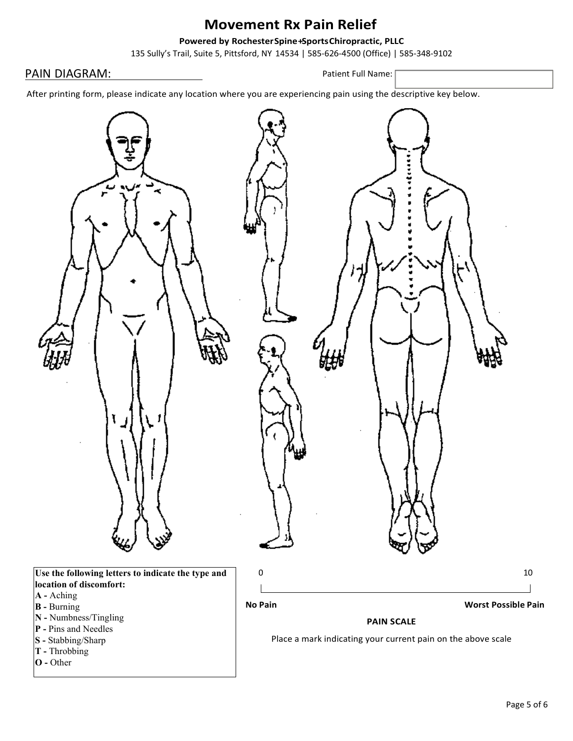#### Powered by Rochester Spine + Sports Chiropractic, PLLC

135 Sully's Trail, Suite 5, Pittsford, NY 14534 | 585-626-4500 (Office) | 585-348-9102

#### PAIN DIAGRAM: PAIN DIAGRAM:

After printing form, please indicate any location where you are experiencing pain using the descriptive key below.